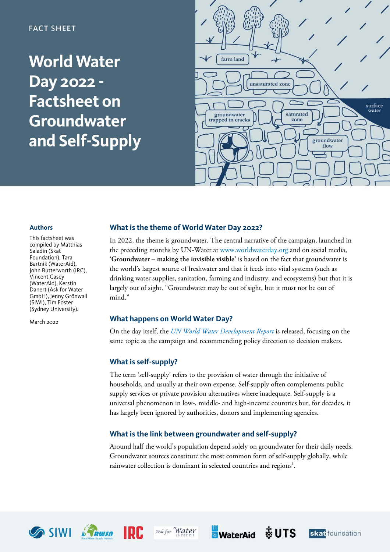### **FACT SHEET**

# **World Water** Day 2022 -**Factsheet on** Groundwater and Self-Supply



#### **Authors**

This factsheet was compiled by Matthias Saladin (Skat Foundation), Tara Bartnik (WaterAid), John Butterworth (IRC), Vincent Casey (WaterAid), Kerstin Danert (Ask for Water GmbH), Jenny Grönwall (SIWI), Tim Foster (Sydney University).

March 2022

#### **What is the theme of World Water Day 2022?**

In 2022, the theme is groundwater. The central narrative of the campaign, launched in the preceding months by UN-Water at [www.worldwaterday.](http://www.worldwaterday/)org and on social media, '**Groundwater – making the invisible visible'** is based on the fact that groundwater is the world's largest source of freshwater and that it feeds into vital systems (such as drinking water supplies, sanitation, farming and industry, and ecosystems) but that it is largely out of sight. "Groundwater may be out of sight, but it must not be out of mind."

#### **What happens on World Water Day?**

On the day itself, the *UN World Water [Development](https://www.unwater.org/publication_categories/world-water-development-report/) Report* is released, focusing on the same topic as the campaign and recommending policy direction to decision makers.

#### **What is self-supply?**

The term 'self-supply' refers to the provision of water through the initiative of households, and usually at their own expense. Self-supply often complements public supply services or private provision alternatives where inadequate. Self-supply is a universal phenomenon in low-, middle- and high-income countries but, for decades, it has largely been ignored by authorities, donors and implementing agencies.

#### **What is the link between groundwater and self-supply?**

Around half the world's population depend solely on groundwater for their daily needs. Groundwater sources constitute the most common form of self-supply globally, while rainwater collection is dominant in selected countries and regions<sup>1</sup>.









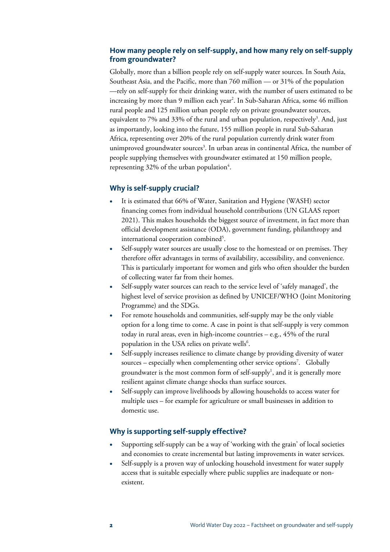#### **How many people rely on self-supply, and how many rely on self-supply from groundwater?**

Globally, more than a billion people rely on self-supply water sources. In South Asia, Southeast Asia, and the Pacific, more than 760 million — or 31% of the population —rely on self-supply for their drinking water, with the number of users estimated to be increasing by more than 9 million each year2 . In Sub-Saharan Africa, some 46 million rural people and 125 million urban people rely on private groundwater sources, equivalent to 7% and 33% of the rural and urban population, respectively<sup>3</sup>. And, just as importantly, looking into the future, 155 million people in rural Sub-Saharan Africa, representing over 20% of the rural population currently drink water from unimproved groundwater sources<sup>3</sup>. In urban areas in continental Africa, the number of people supplying themselves with groundwater estimated at 150 million people, representing 32% of the urban population $^4$ .

#### **Why is self-supply crucial?**

- It is estimated that 66% of Water, Sanitation and Hygiene (WASH) sector financing comes from individual household contributions (UN GLAAS report 2021). This makes households the biggest source of investment, in fact more than official development assistance (ODA), government funding, philanthropy and international cooperation combined<sup>5</sup>.
- Self-supply water sources are usually close to the homestead or on premises. They therefore offer advantages in terms of availability, accessibility, and convenience. This is particularly important for women and girls who often shoulder the burden of collecting water far from their homes.
- Self-supply water sources can reach to the service level of 'safely managed', the highest level of service provision as defined by UNICEF/WHO (Joint Monitoring Programme) and the SDGs.
- For remote households and communities, self-supply may be the only viable option for a long time to come. A case in point is that self-supply is very common today in rural areas, even in high-income countries – e.g., 45% of the rural population in the USA relies on private wells<sup>6</sup>.
- Self-supply increases resilience to climate change by providing diversity of water sources – especially when complementing other service options<sup>7</sup>. Globally groundwater is the most common form of self-supply<sup>1</sup>, and it is generally more resilient against climate change shocks than surface sources.
- Self-supply can improve livelihoods by allowing households to access water for multiple uses – for example for agriculture or small businesses in addition to domestic use.

#### **Why is supporting self-supply effective?**

- Supporting self-supply can be a way of 'working with the grain' of local societies and economies to create incremental but lasting improvements in water services.
- Self-supply is a proven way of unlocking household investment for water supply access that is suitable especially where public supplies are inadequate or nonexistent.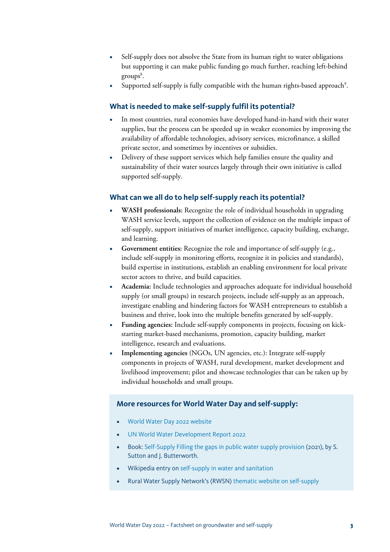- Self-supply does not absolve the State from its human right to water obligations but supporting it can make public funding go much further, reaching left-behind  $\rm{groups}^8.$
- Supported self-supply is fully compatible with the human rights-based approach<sup>9</sup>.

#### **What is needed to make self-supply fulfil its potential?**

- In most countries, rural economies have developed hand-in-hand with their water supplies, but the process can be speeded up in weaker economies by improving the availability of affordable technologies, advisory services, microfinance, a skilled private sector, and sometimes by incentives or subsidies.
- Delivery of these support services which help families ensure the quality and sustainability of their water sources largely through their own initiative is called supported self-supply.

#### **What can we all do to help self-supply reach its potential?**

- **WASH professionals:** Recognize the role of individual households in upgrading WASH service levels, support the collection of evidence on the multiple impact of self-supply, support initiatives of market intelligence, capacity building, exchange, and learning.
- **Government entities:** Recognize the role and importance of self-supply (e.g., include self-supply in monitoring efforts, recognize it in policies and standards), build expertise in institutions, establish an enabling environment for local private sector actors to thrive, and build capacities.
- **Academia:** Include technologies and approaches adequate for individual household supply (or small groups) in research projects, include self-supply as an approach, investigate enabling and hindering factors for WASH entrepreneurs to establish a business and thrive, look into the multiple benefits generated by self-supply.
- **Funding agencies:** Include self-supply components in projects, focusing on kickstarting market-based mechanisms, promotion, capacity building, market intelligence, research and evaluations.
- **Implementing agencies** (NGOs, UN agencies, etc.): Integrate self-supply components in projects of WASH, rural development, market development and livelihood improvement; pilot and showcase technologies that can be taken up by individual households and small groups.

#### **More resources for World Water Day and self-supply:**

- [World Water Day 2022 website](http://www.worldwaterday.org/)
- [UN World Water Development Report 2022](http://www.unwater.org/publication_categories/world-water-development-report)
- Book: [Self-Supply Filling the gaps in public water supply provision](https://practicalactionpublishing.com/book/2530/self-supply) (2021), by S. Sutton and J. Butterworth.
- Wikipedia entry on [self-supply in water and sanitation](https://en.wikipedia.org/wiki/Self-supply_of_water_and_sanitation)
- Rural Water Supply Network's (RWSN) [thematic website on self-supply](https://rural-water-supply.net/en/self-supply)